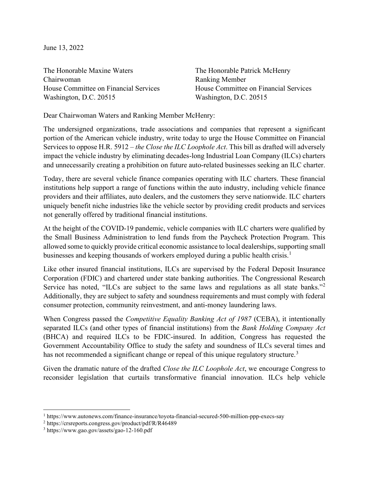June 13, 2022

The Honorable Maxine Waters Chairwoman House Committee on Financial Services Washington, D.C. 20515

The Honorable Patrick McHenry Ranking Member House Committee on Financial Services Washington, D.C. 20515

Dear Chairwoman Waters and Ranking Member McHenry:

The undersigned organizations, trade associations and companies that represent a significant portion of the American vehicle industry, write today to urge the House Committee on Financial Services to oppose H.R. 5912 – *the Close the ILC Loophole Act*. This bill as drafted will adversely impact the vehicle industry by eliminating decades-long Industrial Loan Company (ILCs) charters and unnecessarily creating a prohibition on future auto-related businesses seeking an ILC charter.

Today, there are several vehicle finance companies operating with ILC charters. These financial institutions help support a range of functions within the auto industry, including vehicle finance providers and their affiliates, auto dealers, and the customers they serve nationwide. ILC charters uniquely benefit niche industries like the vehicle sector by providing credit products and services not generally offered by traditional financial institutions.

At the height of the COVID-19 pandemic, vehicle companies with ILC charters were qualified by the Small Business Administration to lend funds from the Paycheck Protection Program. This allowed some to quickly provide critical economic assistance to local dealerships, supporting small businesses and keeping thousands of workers employed during a public health crisis.<sup>[1](#page-0-0)</sup>

Like other insured financial institutions, ILCs are supervised by the Federal Deposit Insurance Corporation (FDIC) and chartered under state banking authorities. The Congressional Research Service has noted, "ILCs are subject to the same laws and regulations as all state banks." Additionally, they are subject to safety and soundness requirements and must comply with federal consumer protection, community reinvestment, and anti-money laundering laws.

When Congress passed the *Competitive Equality Banking Act of 1987* (CEBA), it intentionally separated ILCs (and other types of financial institutions) from the *Bank Holding Company Act* (BHCA) and required ILCs to be FDIC-insured. In addition, Congress has requested the Government Accountability Office to study the safety and soundness of ILCs several times and has not recommended a significant change or repeal of this unique regulatory structure.<sup>[3](#page-0-2)</sup>

Given the dramatic nature of the drafted *Close the ILC Loophole Act*, we encourage Congress to reconsider legislation that curtails transformative financial innovation. ILCs help vehicle

<span id="page-0-0"></span><sup>1</sup> https://www.autonews.com/finance-insurance/toyota-financial-secured-500-million-ppp-execs-say

<span id="page-0-1"></span><sup>2</sup> https://crsreports.congress.gov/product/pdf/R/R46489

<span id="page-0-2"></span><sup>3</sup> https://www.gao.gov/assets/gao-12-160.pdf